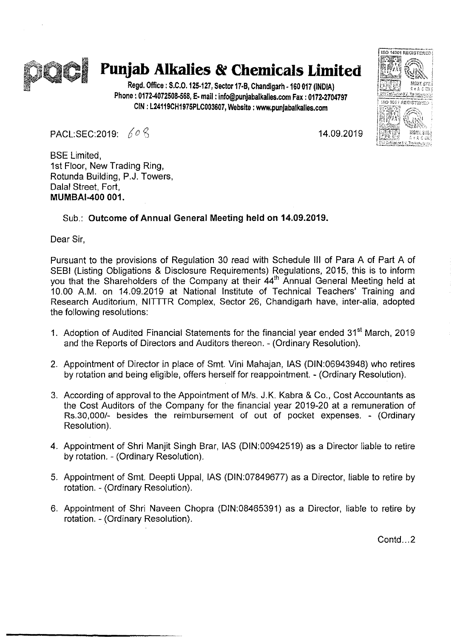

## I **Punjab Alkalies & Chemicals Limited**

Regd. Office: S.C.0.125·127, Sector 17·8, Chandigarh ·160 017 (INOlA) Phone: 0172-4072508·568, E· mail: info@punjabalkalies.com Fax: 0172.2704797 CIN: L24119CH1975PLC003607, Website: www.punjabalkalies.com

PACL:SEC:2019: *D () ~* 14.09.2019

ISO 14001 REGISTERED

SO 9001 REGISTEDER

BSE Limited, 1st Floor, New Trading Ring, Rotunda Building, P.J. Towers, Dalal Street, Fort, MUMBAI-400 001.

## Sub.: Outcome of Annual General Meeting held on 14.09.2019.

Dear Sir,

Pursuant to the provisions of Regulation 30 read with Schedule III of Para A of Part A of SEBI (Listing Obligations & Disclosure Requirements) Regulations, 2015, this is to inform you that the Shareholders of the Company at their 44<sup>th</sup> Annual General Meeting held at 10.00 A.M. on 14.09.2019 at National Institute of Technical Teachers' Training and Research Auditorium, NITTTR Complex, Sector 26, Chandigarh have, inter-alia, adopted the following resolutions:

- 1. Adoption of Audited Financial Statements for the financial year ended 31<sup>st</sup> March. 2019 and the Reports of Directors and Auditors thereon. - (Ordinary Resolution).
- 2. Appointment of Director in place of Smt. Vini Mahajan, lAS (DIN:06943948) who retires by rotation and being eligible, offers herself for reappointment. - (Ordinary Resolution).
- 3. According of approval to the Appointment of MIs. J.K. Kabra & Co., Cost Accountants as the Cost Auditors of the Company for the financial year 2019-20 at a remuneration of Rs.30,OOOI- besides the reimbursement of out of pocket expenses. - (Ordinary Resolution).
- 4. Appointment of Shri Manjit Singh Brar, lAS (DIN:00942519) as a Director liable to retire by rotation. - (Ordinary Resolution).
- 5. Appointment of Smt. Deepti Uppal, lAS (DIN:07849677) as a Director, liable to retire by rotation. - (Ordinary Resolution).
- 6. Appointment of Shri Naveen Chopra (DIN:08465391) as a Director, liable to retire by rotation. - (Ordinary Resolution).

Contd...2